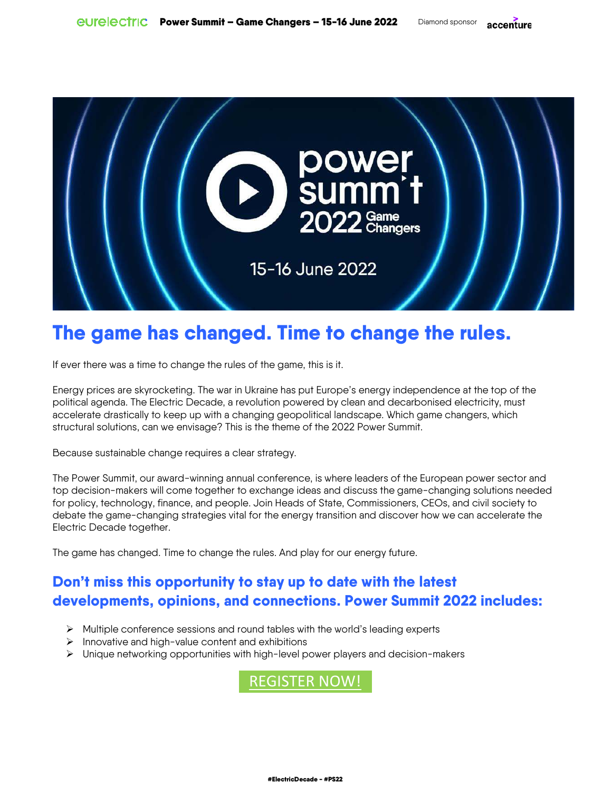

# **The game has changed. Time to change the rules.**

If ever there was a time to change the rules of the game, this is it.

Energy prices are skyrocketing. The war in Ukraine has put Europe's energy independence at the top of the political agenda. The Electric Decade, a revolution powered by clean and decarbonised electricity, must accelerate drastically to keep up with a changing geopolitical landscape. Which game changers, which structural solutions, can we envisage? This is the theme of the 2022 Power Summit.

Because sustainable change requires a clear strategy.

The Power Summit, our award-winning annual conference, is where leaders of the European power sector and top decision-makers will come together to exchange ideas and discuss the game-changing solutions needed for policy, technology, finance, and people. Join Heads of State, Commissioners, CEOs, and civil society to debate the game-changing strategies vital for the energy transition and discover how we can accelerate the Electric Decade together.

The game has changed. Time to change the rules. And play for our energy future.

# **Don't miss this opportunity to stay up to date with the latest developments, opinions, and connections. Power Summit 2022 includes:**

- $\triangleright$  Multiple conference sessions and round tables with the world's leading experts
- $\triangleright$  Innovative and high-value content and exhibitions
- $\triangleright$  Unique networking opportunities with high-level power players and decision-makers

REGISTER NOW!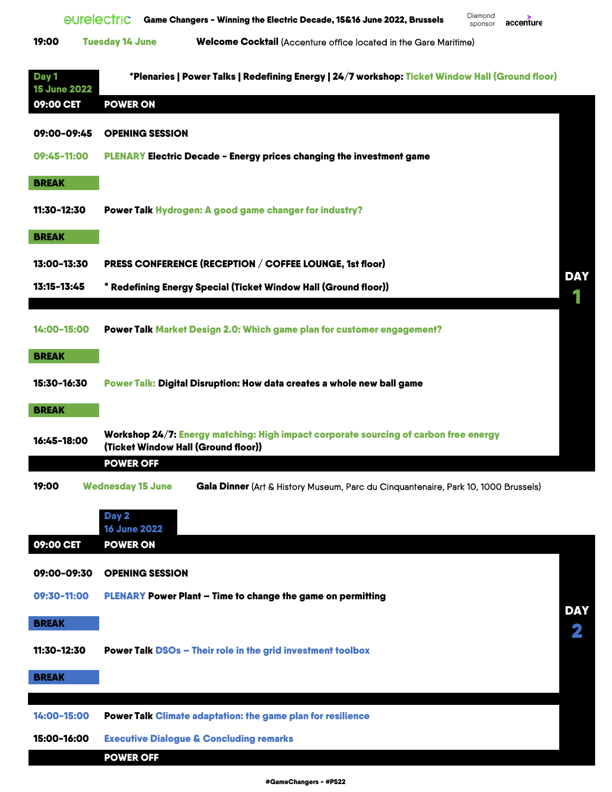|       | eurelectric            | Game Changers - Winning the Electric Decade, 15&16 June 2022, Brussels  | Diamond<br>sponsor | accenture |
|-------|------------------------|-------------------------------------------------------------------------|--------------------|-----------|
| 19:00 | <b>Tuesday 14 June</b> | <b>Welcome Cocktail</b> (Accenture office located in the Gare Maritime) |                    |           |

| Day 1<br><b>15 June 2022</b> | *Plenaries   Power Talks   Redefining Energy   24/7 workshop: Ticket Window Hall (Ground floor)                             |            |
|------------------------------|-----------------------------------------------------------------------------------------------------------------------------|------------|
| 09:00 CET                    | <b>POWER ON</b>                                                                                                             |            |
| 09:00-09:45                  | <b>OPENING SESSION</b>                                                                                                      |            |
| 09:45-11:00                  | <b>PLENARY Electric Decade - Energy prices changing the investment game</b>                                                 |            |
| <b>BREAK</b>                 |                                                                                                                             |            |
| 11:30-12:30                  | Power Talk Hydrogen: A good game changer for industry?                                                                      |            |
| <b>BREAK</b>                 |                                                                                                                             |            |
| 13:00-13:30                  | PRESS CONFERENCE (RECEPTION / COFFEE LOUNGE, 1st floor)                                                                     |            |
| 13:15-13:45                  | * Redefining Energy Special (Ticket Window Hall (Ground floor))                                                             | <b>DAY</b> |
|                              |                                                                                                                             |            |
| 14:00-15:00                  | Power Talk Market Design 2.0: Which game plan for customer engagement?                                                      |            |
| <b>BREAK</b>                 |                                                                                                                             |            |
| 15:30-16:30                  | Power Talk: Digital Disruption: How data creates a whole new ball game                                                      |            |
| <b>BREAK</b>                 |                                                                                                                             |            |
| 16:45-18:00                  | Workshop 24/7: Energy matching: High impact corporate sourcing of carbon free energy<br>(Ticket Window Hall (Ground floor)) |            |
|                              | <b>POWER OFF</b>                                                                                                            |            |
| 19:00                        | <b>Wednesday 15 June</b><br>Gala Dinner (Art & History Museum, Parc du Cinquantenaire, Park 10, 1000 Brussels)              |            |
|                              | Day 2                                                                                                                       |            |
| 09:00 CET                    | <b>16 June 2022</b><br><b>POWER ON</b>                                                                                      |            |
|                              |                                                                                                                             |            |
| 09:00-09:30                  | <b>OPENING SESSION</b>                                                                                                      |            |
| 09:30-11:00                  | <b>PLENARY Power Plant - Time to change the game on permitting</b>                                                          | <b>DAY</b> |
| <b>BREAK</b>                 |                                                                                                                             | 2          |
| 11:30-12:30                  | <b>Power Talk DSOs - Their role in the grid investment toolbox</b>                                                          |            |
| <b>BREAK</b>                 |                                                                                                                             |            |
|                              |                                                                                                                             |            |
| 14:00-15:00                  | <b>Power Talk Climate adaptation: the game plan for resilience</b>                                                          |            |
| 15:00-16:00                  | <b>Executive Dialogue &amp; Concluding remarks</b><br><b>POWER OFF</b>                                                      |            |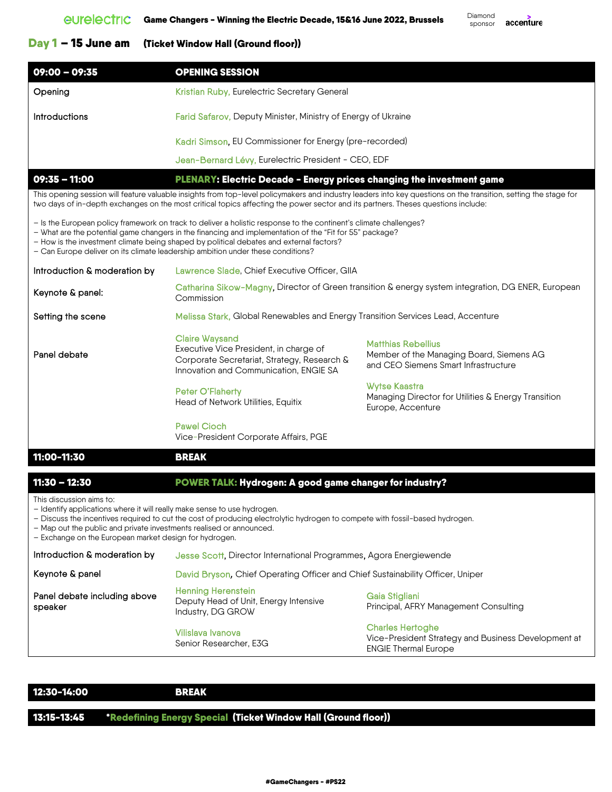## Day 1 – 15 June am (Ticket Window Hall (Ground floor))

| 09:00 - 09:35                                                                         | <b>OPENING SESSION</b>                                  |  |
|---------------------------------------------------------------------------------------|---------------------------------------------------------|--|
| Opening                                                                               | Kristian Ruby, Eurelectric Secretary General            |  |
| <b>Farid Safarov, Deputy Minister, Ministry of Energy of Ukraine</b><br>Introductions |                                                         |  |
|                                                                                       | Kadri Simson, EU Commissioner for Energy (pre-recorded) |  |
|                                                                                       | Jean-Bernard Lévy, Eurelectric President - CEO, EDF     |  |

09:35 - 11:00 PLENARY: Electric Decade - Energy prices changing the investment game

This opening session will feature valuable insights from top-level policymakers and industry leaders into key questions on the transition, setting the stage for two days of in-depth exchanges on the most critical topics affecting the power sector and its partners. Theses questions include:

- Is the European policy framework on track to deliver a holistic response to the continent's climate challenges?
- What are the potential game changers in the financing and implementation of the "Fit for 55" package?
- How is the investment climate being shaped by political debates and external factors?
- Can Europe deliver on its climate leadership ambition under these conditions?
- Introduction & moderation by Lawrence Slade, Chief Executive Officer, GIIA
- Keynote & panel: Catharina Sikow-Magny, Director of Green transition & energy system integration, DG ENER, European **Commission**
- Setting the scene **Melissa Stark, Global Renewables and Energy Transition Services Lead, Accenture**
- Panel debate Claire Waysand Executive Vice President, in charge of Corporate Secretariat, Strategy, Research & Innovation and Communication, ENGIE SA Matthias Rebellius Member of the Managing Board, Siemens AG and CEO Siemens Smart Infrastructure Peter O'Flaherty Head of Network Utilities, Equitix Wytse Kaastra Managing Director for Utilities & Energy Transition Europe, Accenture Pawel Cioch

Vice-President Corporate Affairs, PGE

## 11:00-11:30 BREAK

## 11:30 – 12:30 POWER TALK: Hydrogen: A good game changer for industry?

This discussion aims to:

– Identify applications where it will really make sense to use hydrogen.

– Discuss the incentives required to cut the cost of producing electrolytic hydrogen to compete with fossil-based hydrogen.

– Map out the public and private investments realised or announced.

– Exchange on the European market design for hydrogen.

| Introduction & moderation by            | Jesse Scott, Director International Programmes, Agora Energiewende                      |                                                                                                               |  |
|-----------------------------------------|-----------------------------------------------------------------------------------------|---------------------------------------------------------------------------------------------------------------|--|
| Keynote & panel                         | David Bryson, Chief Operating Officer and Chief Sustainability Officer, Uniper          |                                                                                                               |  |
| Panel debate including above<br>speaker | <b>Henning Herenstein</b><br>Deputy Head of Unit, Energy Intensive<br>Industry, DG GROW | Gaia Stigliani<br>Principal, AFRY Management Consulting                                                       |  |
|                                         | Vilislava Ivanova<br>Senior Researcher, E3G                                             | <b>Charles Hertoghe</b><br>Vice-President Strategy and Business Development at<br><b>ENGIE Thermal Europe</b> |  |

| 12:30-14:00 | BREAK                                                                     |  |
|-------------|---------------------------------------------------------------------------|--|
|             |                                                                           |  |
|             | 13:15-13:45 Redefining Energy Special (Ticket Window Hall (Ground floor)) |  |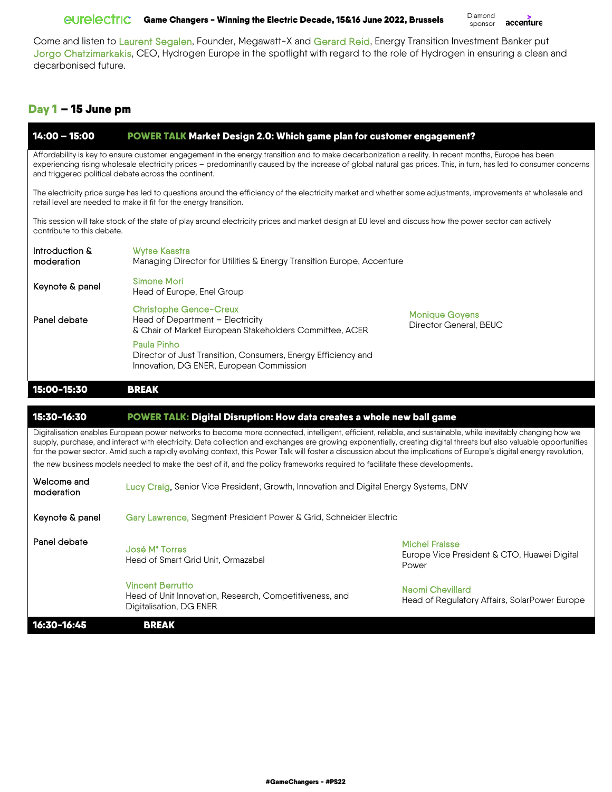# GUIC CAME Changers - Winning the Electric Decade, 15&16 June 2022, Brussels Diamond

accenture sponsor

Come and listen to Laurent Segalen, Founder, Megawatt-X and Gerard Reid, Energy Transition Investment Banker put Jorgo Chatzimarkakis, CEO, Hydrogen Europe in the spotlight with regard to the role of Hydrogen in ensuring a clean and decarbonised future.

# Day 1 – 15 June pm

| $14:00 - 15:00$                                                                                                                                                                                                                                                                                                                                                                                                                                                                                          | POWER TALK Market Design 2.0: Which game plan for customer engagement?                                                                                                                                                            |                                                                          |  |  |
|----------------------------------------------------------------------------------------------------------------------------------------------------------------------------------------------------------------------------------------------------------------------------------------------------------------------------------------------------------------------------------------------------------------------------------------------------------------------------------------------------------|-----------------------------------------------------------------------------------------------------------------------------------------------------------------------------------------------------------------------------------|--------------------------------------------------------------------------|--|--|
| Affordability is key to ensure customer engagement in the energy transition and to make decarbonization a reality. In recent months, Europe has been<br>experiencing rising wholesale electricity prices - predominantly caused by the increase of global natural gas prices. This, in turn, has led to consumer concerns<br>and triggered political debate across the continent.                                                                                                                        |                                                                                                                                                                                                                                   |                                                                          |  |  |
|                                                                                                                                                                                                                                                                                                                                                                                                                                                                                                          | The electricity price surge has led to questions around the efficiency of the electricity market and whether some adjustments, improvements at wholesale and<br>retail level are needed to make it fit for the energy transition. |                                                                          |  |  |
| contribute to this debate.                                                                                                                                                                                                                                                                                                                                                                                                                                                                               | This session will take stock of the state of play around electricity prices and market design at EU level and discuss how the power sector can actively                                                                           |                                                                          |  |  |
| Introduction &<br>moderation                                                                                                                                                                                                                                                                                                                                                                                                                                                                             | <b>Wytse Kaastra</b><br>Managing Director for Utilities & Energy Transition Europe, Accenture                                                                                                                                     |                                                                          |  |  |
| Keynote & panel                                                                                                                                                                                                                                                                                                                                                                                                                                                                                          | <b>Simone Mori</b><br>Head of Europe, Enel Group                                                                                                                                                                                  |                                                                          |  |  |
| Panel debate                                                                                                                                                                                                                                                                                                                                                                                                                                                                                             | <b>Christophe Gence-Creux</b><br>Head of Department - Electricity<br>& Chair of Market European Stakeholders Committee, ACER                                                                                                      | <b>Monique Goyens</b><br>Director General, BEUC                          |  |  |
|                                                                                                                                                                                                                                                                                                                                                                                                                                                                                                          | Paula Pinho<br>Director of Just Transition, Consumers, Energy Efficiency and<br>Innovation, DG ENER, European Commission                                                                                                          |                                                                          |  |  |
| 15:00-15:30<br><b>BREAK</b>                                                                                                                                                                                                                                                                                                                                                                                                                                                                              |                                                                                                                                                                                                                                   |                                                                          |  |  |
|                                                                                                                                                                                                                                                                                                                                                                                                                                                                                                          |                                                                                                                                                                                                                                   |                                                                          |  |  |
| 15:30-16:30                                                                                                                                                                                                                                                                                                                                                                                                                                                                                              | POWER TALK: Digital Disruption: How data creates a whole new ball game                                                                                                                                                            |                                                                          |  |  |
| Digitalisation enables European power networks to become more connected, intelligent, efficient, reliable, and sustainable, while inevitably changing how we<br>supply, purchase, and interact with electricity. Data collection and exchanges are growing exponentially, creating digital threats but also valuable opportunities<br>for the power sector. Amid such a rapidly evolving context, this Power Talk will foster a discussion about the implications of Europe's digital energy revolution, |                                                                                                                                                                                                                                   |                                                                          |  |  |
| the new business models needed to make the best of it, and the policy frameworks required to facilitate these developments.                                                                                                                                                                                                                                                                                                                                                                              |                                                                                                                                                                                                                                   |                                                                          |  |  |
| Welcome and<br>moderation                                                                                                                                                                                                                                                                                                                                                                                                                                                                                | Lucy Craig, Senior Vice President, Growth, Innovation and Digital Energy Systems, DNV                                                                                                                                             |                                                                          |  |  |
| Keynote & panel                                                                                                                                                                                                                                                                                                                                                                                                                                                                                          | Gary Lawrence, Segment President Power & Grid, Schneider Electric                                                                                                                                                                 |                                                                          |  |  |
| Panel debate                                                                                                                                                                                                                                                                                                                                                                                                                                                                                             | José M <sup>ª</sup> Torres                                                                                                                                                                                                        | <b>Michel Fraisse</b>                                                    |  |  |
|                                                                                                                                                                                                                                                                                                                                                                                                                                                                                                          | Head of Smart Grid Unit, Ormazabal                                                                                                                                                                                                | Europe Vice President & CTO, Huawei Digital<br>Power                     |  |  |
|                                                                                                                                                                                                                                                                                                                                                                                                                                                                                                          | <b>Vincent Berrutto</b><br>Head of Unit Innovation, Research, Competitiveness, and<br>Digitalisation, DG ENER                                                                                                                     | <b>Naomi Chevillard</b><br>Head of Regulatory Affairs, SolarPower Europe |  |  |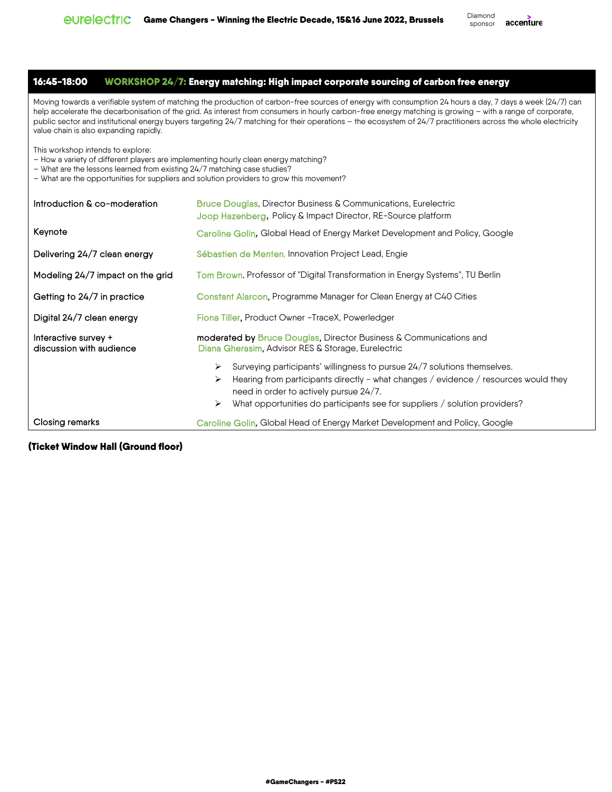16:45-18:00 WORKSHOP 24/7: Energy matching: High impact corporate sourcing of carbon free energy

Moving towards a verifiable system of matching the production of carbon-free sources of energy with consumption 24 hours a day, 7 days a week (24/7) can help accelerate the decarbonisation of the grid. As interest from consumers in hourly carbon-free energy matching is growing – with a range of corporate, public sector and institutional energy buyers targeting 24/7 matching for their operations – the ecosystem of 24/7 practitioners across the whole electricity value chain is also expanding rapidly.

This workshop intends to explore:

- How a variety of different players are implementing hourly clean energy matching?
- What are the lessons learned from existing 24/7 matching case studies?
- What are the opportunities for suppliers and solution providers to grow this movement?

| Introduction & co-moderation                     | <b>Bruce Douglas, Director Business &amp; Communications, Eurelectric</b><br>Joop Hazenberg, Policy & Impact Director, RE-Source platform                                                                                                                                                              |  |  |
|--------------------------------------------------|--------------------------------------------------------------------------------------------------------------------------------------------------------------------------------------------------------------------------------------------------------------------------------------------------------|--|--|
| Keynote                                          | Caroline Golin, Global Head of Energy Market Development and Policy, Google                                                                                                                                                                                                                            |  |  |
| Delivering 24/7 clean energy                     | Sébastien de Menten, Innovation Project Lead, Engie                                                                                                                                                                                                                                                    |  |  |
| Modeling 24/7 impact on the grid                 | Tom Brown, Professor of "Digital Transformation in Energy Systems", TU Berlin                                                                                                                                                                                                                          |  |  |
| Getting to 24/7 in practice                      | Constant Alarcon, Programme Manager for Clean Energy at C40 Cities                                                                                                                                                                                                                                     |  |  |
| Digital 24/7 clean energy                        | Fiona Tiller, Product Owner - TraceX, Powerledger                                                                                                                                                                                                                                                      |  |  |
| Interactive survey +<br>discussion with audience | <b>moderated by Bruce Douglas, Director Business &amp; Communications and</b><br>Diana Gherasim, Advisor RES & Storage, Eurelectric                                                                                                                                                                    |  |  |
|                                                  | Surveying participants' willingness to pursue 24/7 solutions themselves.<br>➤<br>Hearing from participants directly - what changes / evidence / resources would they<br>➤<br>need in order to actively pursue 24/7.<br>What opportunities do participants see for suppliers / solution providers?<br>➤ |  |  |
| Closing remarks                                  | Caroline Golin, Global Head of Energy Market Development and Policy, Google                                                                                                                                                                                                                            |  |  |

## (Ticket Window Hall (Ground floor)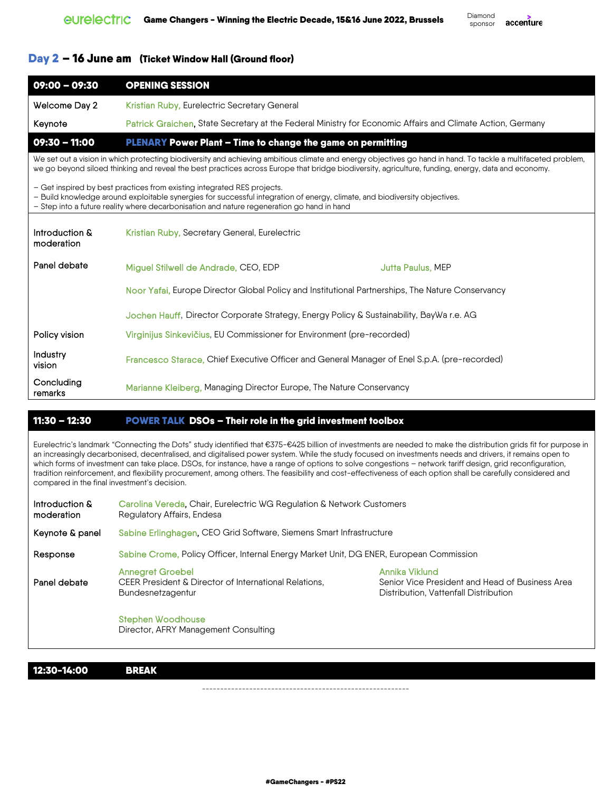## Day 2 – 16 June am (Ticket Window Hall (Ground floor)

| 09:00 - 09:30                                                                                                                                                                                                                                                                                       | <b>OPENING SESSION</b>                                                                                                                                                                                                                                                                                              |  |  |  |  |
|-----------------------------------------------------------------------------------------------------------------------------------------------------------------------------------------------------------------------------------------------------------------------------------------------------|---------------------------------------------------------------------------------------------------------------------------------------------------------------------------------------------------------------------------------------------------------------------------------------------------------------------|--|--|--|--|
| Welcome Day 2                                                                                                                                                                                                                                                                                       | Kristian Ruby, Eurelectric Secretary General                                                                                                                                                                                                                                                                        |  |  |  |  |
| Keynote                                                                                                                                                                                                                                                                                             | Patrick Graichen, State Secretary at the Federal Ministry for Economic Affairs and Climate Action, Germany                                                                                                                                                                                                          |  |  |  |  |
| 09:30 - 11:00                                                                                                                                                                                                                                                                                       | PLENARY Power Plant - Time to change the game on permitting                                                                                                                                                                                                                                                         |  |  |  |  |
|                                                                                                                                                                                                                                                                                                     | We set out a vision in which protecting biodiversity and achieving ambitious climate and energy objectives go hand in hand. To tackle a multifaceted problem,<br>we go beyond siloed thinking and reveal the best practices across Europe that bridge biodiversity, agriculture, funding, energy, data and economy. |  |  |  |  |
| - Get inspired by best practices from existing integrated RES projects.<br>- Build knowledge around exploitable synergies for successful integration of energy, climate, and biodiversity objectives.<br>- Step into a future reality where decarbonisation and nature regeneration go hand in hand |                                                                                                                                                                                                                                                                                                                     |  |  |  |  |
| Introduction &<br>moderation                                                                                                                                                                                                                                                                        | Kristian Ruby, Secretary General, Eurelectric                                                                                                                                                                                                                                                                       |  |  |  |  |
| Panel debate                                                                                                                                                                                                                                                                                        | Miguel Stilwell de Andrade, CEO, EDP<br>Jutta Paulus, MEP                                                                                                                                                                                                                                                           |  |  |  |  |
|                                                                                                                                                                                                                                                                                                     | Noor Yafai, Europe Director Global Policy and Institutional Partnerships, The Nature Conservancy                                                                                                                                                                                                                    |  |  |  |  |
|                                                                                                                                                                                                                                                                                                     | Jochen Hauff, Director Corporate Strategy, Energy Policy & Sustainability, BayWa r.e. AG                                                                                                                                                                                                                            |  |  |  |  |
| Policy vision                                                                                                                                                                                                                                                                                       | Virginijus Sinkevičius, EU Commissioner for Environment (pre-recorded)                                                                                                                                                                                                                                              |  |  |  |  |
| Industry<br>vision                                                                                                                                                                                                                                                                                  | Francesco Starace, Chief Executive Officer and General Manager of Enel S.p.A. (pre-recorded)                                                                                                                                                                                                                        |  |  |  |  |
| Concluding<br>remarks                                                                                                                                                                                                                                                                               | Marianne Kleiberg, Managing Director Europe, The Nature Conservancy                                                                                                                                                                                                                                                 |  |  |  |  |

#### ı 11:30 – 12:30 POWER TALK DSOs – Their role in the grid investment toolbox

Eurelectric's landmark "Connecting the Dots" study identified that €375-€425 billion of investments are needed to make the distribution grids fit for purpose in an increasingly decarbonised, decentralised, and digitalised power system. While the study focused on investments needs and drivers, it remains open to which forms of investment can take place. DSOs, for instance, have a range of options to solve congestions – network tariff design, grid reconfiguration, tradition reinforcement, and flexibility procurement, among others. The feasibility and cost-effectiveness of each option shall be carefully considered and compared in the final investment's decision.

| Introduction &<br>moderation | Carolina Vereda, Chair, Eurelectric WG Regulation & Network Customers<br>Regulatory Affairs, Endesa          |                                                                                                            |
|------------------------------|--------------------------------------------------------------------------------------------------------------|------------------------------------------------------------------------------------------------------------|
| Keynote & panel              | Sabine Erlinghagen, CEO Grid Software, Siemens Smart Infrastructure                                          |                                                                                                            |
| Response                     | Sabine Crome, Policy Officer, Internal Energy Market Unit, DG ENER, European Commission                      |                                                                                                            |
| Panel debate                 | <b>Annegret Groebel</b><br>CEER President & Director of International Relations.<br><b>Bundesnetzagentur</b> | Annika Viklund<br>Senior Vice President and Head of Business Area<br>Distribution, Vattenfall Distribution |
|                              | <b>Stephen Woodhouse</b><br>Director, AFRY Management Consulting                                             |                                                                                                            |

12:30-14:00

**BREAK** 

---------------------------------------------------------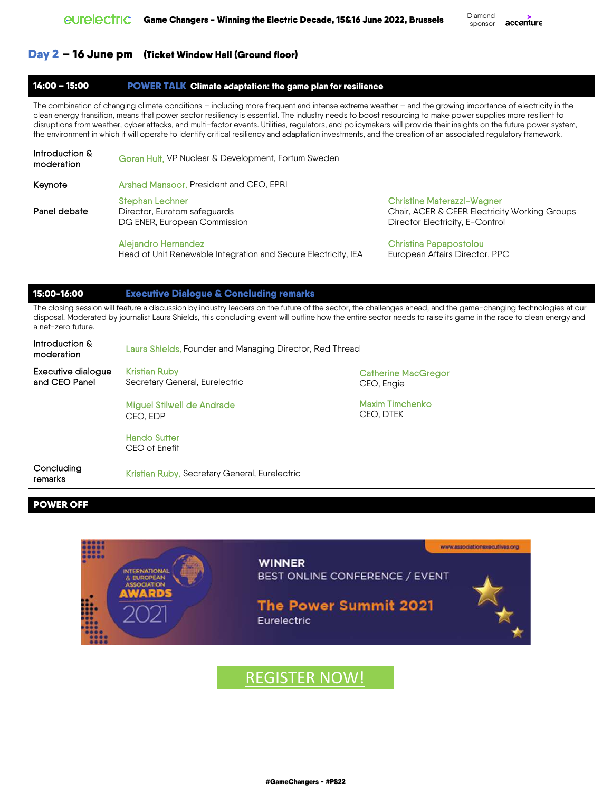accenture

# Day 2 – 16 June pm (Ticket Window Hall (Ground floor)

#### 14:00 – 15:00 POWER TALK Climate adaptation: the game plan for resilience

The combination of changing climate conditions – including more frequent and intense extreme weather – and the growing importance of electricity in the clean energy transition, means that power sector resiliency is essential. The industry needs to boost resourcing to make power supplies more resilient to disruptions from weather, cyber attacks, and multi-factor events. Utilities, regulators, and policymakers will provide their insights on the future power system, the environment in which it will operate to identify critical resiliency and adaptation investments, and the creation of an associated regulatory framework.

| Introduction &<br>moderation | <b>Goran Hult, VP Nuclear &amp; Development, Fortum Sweden</b>                         |                                                                                            |
|------------------------------|----------------------------------------------------------------------------------------|--------------------------------------------------------------------------------------------|
| Keynote                      | Arshad Mansoor, President and CEO, EPRI                                                |                                                                                            |
| Panel debate                 | <b>Stephan Lechner</b><br>Director, Euratom safeguards<br>DG ENER, European Commission | <b>Christine Materazzi-Wagr</b><br>Chair, ACER & CEER Elect<br>Director Electricity, E-Con |
|                              | <b>Alejandro Hernandez</b>                                                             | <b>Christina Papapostolou</b>                                                              |

Head of Unit Renewable Integration and Secure Electricity, IEA

Christine Materazzi-Wagner ricity Working Groups Director Electricity, E-Control

Christina Papapostolou European Affairs Director, PPC

| 15:00-16:00                                                                                                                                                                                                                                                                                                                                               | <b>Executive Dialogue &amp; Concluding remarks</b>       |                                          |
|-----------------------------------------------------------------------------------------------------------------------------------------------------------------------------------------------------------------------------------------------------------------------------------------------------------------------------------------------------------|----------------------------------------------------------|------------------------------------------|
| The closing session will feature a discussion by industry leaders on the future of the sector, the challenges ahead, and the game-changing technologies at our<br>disposal. Moderated by journalist Laura Shields, this concluding event will outline how the entire sector needs to raise its game in the race to clean energy and<br>a net-zero future. |                                                          |                                          |
| Introduction &<br>moderation                                                                                                                                                                                                                                                                                                                              | Laura Shields, Founder and Managing Director, Red Thread |                                          |
| Executive dialogue<br>and CEO Panel                                                                                                                                                                                                                                                                                                                       | <b>Kristian Ruby</b><br>Secretary General, Eurelectric   | <b>Catherine MacGregor</b><br>CEO, Engie |
|                                                                                                                                                                                                                                                                                                                                                           | <b>Miguel Stilwell de Andrade</b><br>CEO. EDP            | Maxim Timchenko<br>CEO. DTEK             |
|                                                                                                                                                                                                                                                                                                                                                           | <b>Hando Sutter</b><br>CEO of Enefit                     |                                          |
| Concluding<br>remarks.                                                                                                                                                                                                                                                                                                                                    | Kristian Ruby, Secretary General, Eurelectric            |                                          |

j

# POWER OFF



# REGISTER NOW!